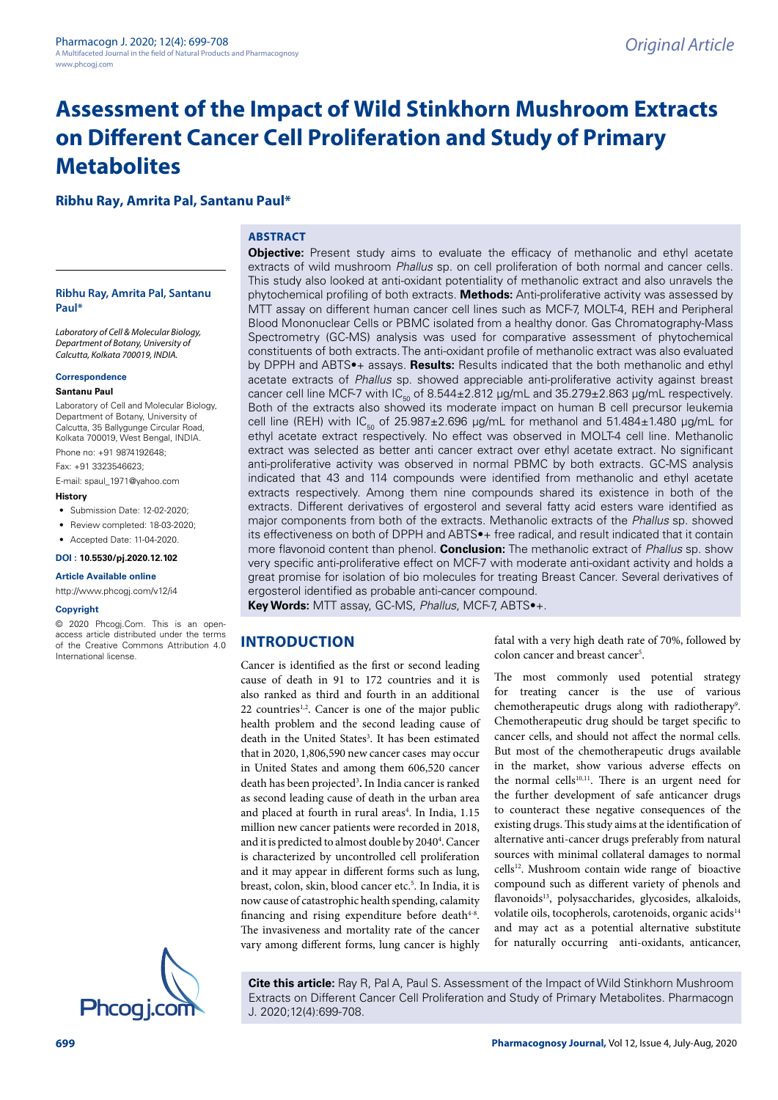# **Assessment of the Impact of Wild Stinkhorn Mushroom Extracts on Different Cancer Cell Proliferation and Study of Primary Metabolites**

**Ribhu Ray, Amrita Pal, Santanu Paul\***

## **ABSTRACT**

**Ribhu Ray, Amrita Pal, Santanu Paul\***

Laboratory of Cell & Molecular Biology, Department of Botany, University of Calcutta, Kolkata 700019, INDIA.

#### **Correspondence**

#### **Santanu Paul**

Laboratory of Cell and Molecular Biology, Department of Botany, University of Calcutta, 35 Ballygunge Circular Road, Kolkata 700019, West Bengal, INDIA.

Phone no: +91 9874192648;

Fax: +91 3323546623;

E-mail: spaul\_1971@yahoo.com

- **History**
- Submission Date: 12-02-2020;
- Review completed: 18-03-2020;
- Accepted Date: 11-04-2020.

**DOI : 10.5530/pj.2020.12.102**

#### **Article Available online**

http://www.phcogj.com/v12/i4

#### **Copyright**

© 2020 Phcogj.Com. This is an openaccess article distributed under the terms of the Creative Commons Attribution 4.0 International license.



extracts of wild mushroom Phallus sp. on cell proliferation of both normal and cancer cells. This study also looked at anti-oxidant potentiality of methanolic extract and also unravels the phytochemical profiling of both extracts. **Methods:** Anti-proliferative activity was assessed by MTT assay on different human cancer cell lines such as MCF-7, MOLT-4, REH and Peripheral Blood Mononuclear Cells or PBMC isolated from a healthy donor. Gas Chromatography-Mass Spectrometry (GC-MS) analysis was used for comparative assessment of phytochemical constituents of both extracts. The anti-oxidant profile of methanolic extract was also evaluated by DPPH and ABTS•+ assays. **Results:** Results indicated that the both methanolic and ethyl acetate extracts of Phallus sp. showed appreciable anti-proliferative activity against breast cancer cell line MCF-7 with  $IC_{50}$  of 8.544 $\pm$ 2.812 µg/mL and 35.279 $\pm$ 2.863 µg/mL respectively. Both of the extracts also showed its moderate impact on human B cell precursor leukemia cell line (REH) with  $IC_{F0}$  of 25.987±2.696 µg/mL for methanol and 51.484±1.480 µg/mL for ethyl acetate extract respectively. No effect was observed in MOLT-4 cell line. Methanolic extract was selected as better anti cancer extract over ethyl acetate extract. No significant anti-proliferative activity was observed in normal PBMC by both extracts. GC-MS analysis indicated that 43 and 114 compounds were identified from methanolic and ethyl acetate extracts respectively. Among them nine compounds shared its existence in both of the extracts. Different derivatives of ergosterol and several fatty acid esters ware identified as major components from both of the extracts. Methanolic extracts of the Phallus sp. showed its effectiveness on both of DPPH and ABTS•+ free radical, and result indicated that it contain more flavonoid content than phenol. **Conclusion:** The methanolic extract of Phallus sp. show very specific anti-proliferative effect on MCF-7 with moderate anti-oxidant activity and holds a great promise for isolation of bio molecules for treating Breast Cancer. Several derivatives of ergosterol identified as probable anti-cancer compound.

**Objective:** Present study aims to evaluate the efficacy of methanolic and ethyl acetate

**Key Words:** MTT assay, GC-MS, Phallus, MCF-7, ABTS•+.

# **INTRODUCTION**

Cancer is identified as the first or second leading cause of death in 91 to 172 countries and it is also ranked as third and fourth in an additional 22 countries<sup>1,2</sup>. Cancer is one of the major public health problem and the second leading cause of death in the United States<sup>3</sup>. It has been estimated that in 2020, 1,806,590 new cancer cases may occur in United States and among them 606,520 cancer death has been projected<sup>3</sup> **.** In India cancer is ranked as second leading cause of death in the urban area and placed at fourth in rural areas<sup>4</sup>. In India, 1.15 million new cancer patients were recorded in 2018, and it is predicted to almost double by 2040<sup>4</sup>. Cancer is characterized by uncontrolled cell proliferation and it may appear in different forms such as lung, breast, colon, skin, blood cancer etc.<sup>5</sup>. In India, it is now cause of catastrophic health spending, calamity financing and rising expenditure before death<sup>4-8</sup>. The invasiveness and mortality rate of the cancer vary among different forms, lung cancer is highly

fatal with a very high death rate of 70%, followed by colon cancer and breast cancer<sup>5</sup>.

The most commonly used potential strategy for treating cancer is the use of various chemotherapeutic drugs along with radiotherapy<sup>9</sup>. Chemotherapeutic drug should be target specific to cancer cells, and should not affect the normal cells. But most of the chemotherapeutic drugs available in the market, show various adverse effects on the normal cells $10,11$ . There is an urgent need for the further development of safe anticancer drugs to counteract these negative consequences of the existing drugs. This study aims at the identification of alternative anti-cancer drugs preferably from natural sources with minimal collateral damages to normal cells<sup>12</sup>. Mushroom contain wide range of bioactive compound such as different variety of phenols and flavonoids<sup>13</sup>, polysaccharides, glycosides, alkaloids, volatile oils, tocopherols, carotenoids, organic acids<sup>14</sup> and may act as a potential alternative substitute for naturally occurring anti-oxidants, anticancer,

**Cite this article:** Ray R, Pal A, Paul S. Assessment of the Impact of Wild Stinkhorn Mushroom Extracts on Different Cancer Cell Proliferation and Study of Primary Metabolites. Pharmacogn J. 2020;12(4):699-708.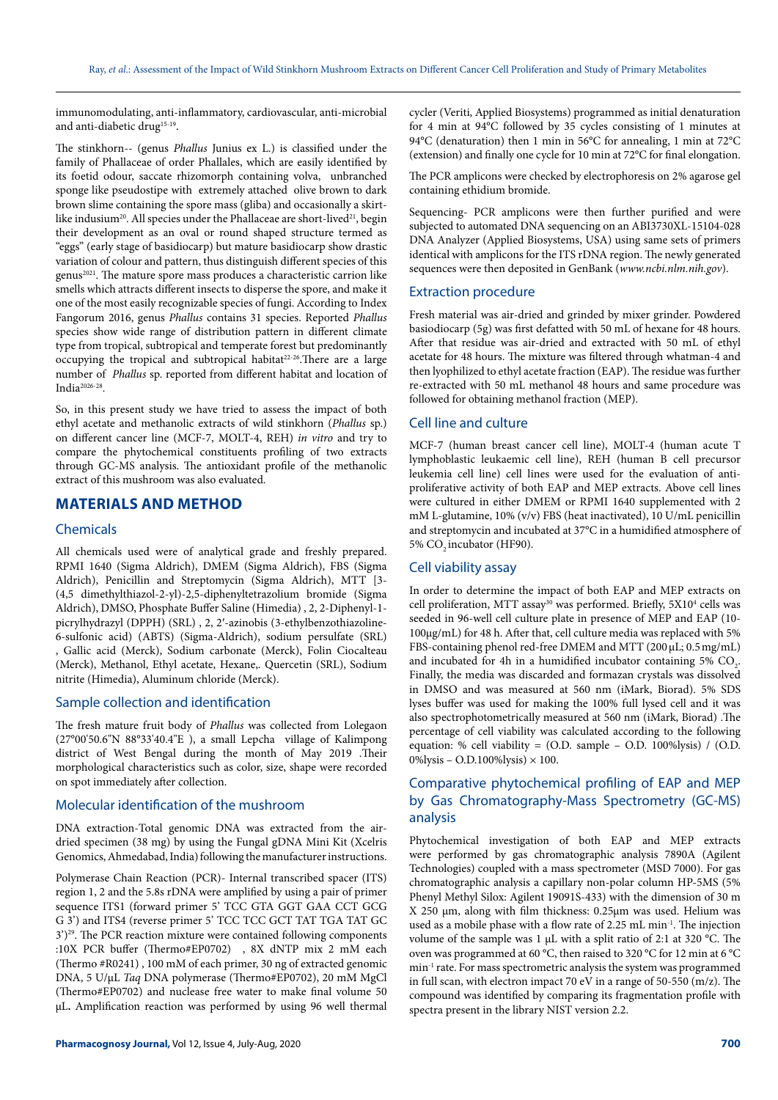immunomodulating, anti-inflammatory, cardiovascular, anti-microbial and anti-diabetic drug<sup>15-19</sup>.

The stinkhorn-- (genus Phallus Junius ex L.) is classified under the family of Phallaceae of order Phallales, which are easily identified by its foetid odour, saccate rhizomorph containing volva, unbranched sponge like pseudostipe with extremely attached olive brown to dark brown slime containing the spore mass (gliba) and occasionally a skirtlike indusium<sup>20</sup>. All species under the Phallaceae are short-lived<sup>21</sup>, begin their development as an oval or round shaped structure termed as "eggs" (early stage of basidiocarp) but mature basidiocarp show drastic variation of colour and pattern, thus distinguish different species of this genus<sup>2021</sup>. The mature spore mass produces a characteristic carrion like smells which attracts different insects to disperse the spore, and make it one of the most easily recognizable species of fungi. According to Index Fangorum 2016, genus Phallus contains 31 species. Reported Phallus species show wide range of distribution pattern in different climate type from tropical, subtropical and temperate forest but predominantly occupying the tropical and subtropical habitat<sup>22-26</sup>. There are a large number of Phallus sp. reported from different habitat and location of India2026-28 .

So, in this present study we have tried to assess the impact of both ethyl acetate and methanolic extracts of wild stinkhorn (Phallus sp.) on different cancer line (MCF-7, MOLT-4, REH) in vitro and try to compare the phytochemical constituents profiling of two extracts through GC-MS analysis. The antioxidant profile of the methanolic extract of this mushroom was also evaluated.

# **MATERIALS AND METHOD**

#### Chemicals

All chemicals used were of analytical grade and freshly prepared. RPMI 1640 (Sigma Aldrich), DMEM (Sigma Aldrich), FBS (Sigma Aldrich), Penicillin and Streptomycin (Sigma Aldrich), MTT [3- (4,5 dimethylthiazol-2-yl)-2,5-diphenyltetrazolium bromide (Sigma Aldrich), DMSO, Phosphate Buffer Saline (Himedia) , 2, 2-Diphenyl-1 picrylhydrazyl (DPPH) (SRL) , 2, 2′-azinobis (3-ethylbenzothiazoline-6-sulfonic acid) (ABTS) (Sigma-Aldrich), sodium persulfate (SRL) , Gallic acid (Merck), Sodium carbonate (Merck), Folin Ciocalteau (Merck), Methanol, Ethyl acetate, Hexane,. Quercetin (SRL), Sodium nitrite (Himedia), Aluminum chloride (Merck).

#### Sample collection and identification

The fresh mature fruit body of Phallus was collected from Lolegaon (27°00'50.6"N 88°33'40.4"E ), a small Lepcha village of Kalimpong district of West Bengal during the month of May 2019 .Their morphological characteristics such as color, size, shape were recorded on spot immediately after collection.

#### Molecular identification of the mushroom

DNA extraction-Total genomic DNA was extracted from the airdried specimen (38 mg) by using the Fungal gDNA Mini Kit (Xcelris Genomics, Ahmedabad, India) following the manufacturer instructions.

Polymerase Chain Reaction (PCR)- Internal transcribed spacer (ITS) region 1, 2 and the 5.8s rDNA were amplified by using a pair of primer sequence ITS1 (forward primer 5' TCC GTA GGT GAA CCT GCG G 3') and ITS4 (reverse primer 5' TCC TCC GCT TAT TGA TAT GC 3')<sup>29</sup>. The PCR reaction mixture were contained following components :10X PCR buffer (Thermo#EP0702) , 8X dNTP mix 2 mM each (Thermo #R0241) , 100 mM of each primer, 30 ng of extracted genomic DNA, 5 U/μL Taq DNA polymerase (Thermo#EP0702), 20 mM MgCl (Thermo#EP0702) and nuclease free water to make final volume 50 µL**.** Amplification reaction was performed by using 96 well thermal

cycler (Veriti, Applied Biosystems) programmed as initial denaturation for 4 min at 94°C followed by 35 cycles consisting of 1 minutes at 94°C (denaturation) then 1 min in 56°C for annealing, 1 min at 72°C (extension) and finally one cycle for 10 min at 72°C for final elongation.

The PCR amplicons were checked by electrophoresis on 2% agarose gel containing ethidium bromide.

Sequencing- PCR amplicons were then further purified and were subjected to automated DNA sequencing on an ABI3730XL-15104-028 DNA Analyzer (Applied Biosystems, USA) using same sets of primers identical with amplicons for the ITS rDNA region. The newly generated sequences were then deposited in GenBank (www.ncbi.nlm.nih.gov).

#### Extraction procedure

Fresh material was air-dried and grinded by mixer grinder. Powdered basiodiocarp (5g) was first defatted with 50 mL of hexane for 48 hours. After that residue was air-dried and extracted with 50 mL of ethyl acetate for 48 hours. The mixture was filtered through whatman-4 and then lyophilized to ethyl acetate fraction (EAP). The residue was further re-extracted with 50 mL methanol 48 hours and same procedure was followed for obtaining methanol fraction (MEP).

## Cell line and culture

MCF-7 (human breast cancer cell line), MOLT-4 (human acute T lymphoblastic leukaemic cell line), REH (human B cell precursor leukemia cell line) cell lines were used for the evaluation of antiproliferative activity of both EAP and MEP extracts. Above cell lines were cultured in either DMEM or RPMI 1640 supplemented with 2 mM L-glutamine, 10% (v/v) FBS (heat inactivated), 10 U/mL penicillin and streptomycin and incubated at 37°C in a humidified atmosphere of 5% CO<sub>2</sub> incubator (HF90).

#### Cell viability assay

In order to determine the impact of both EAP and MEP extracts on cell proliferation, MTT assay<sup>30</sup> was performed. Briefly, 5X10<sup>4</sup> cells was seeded in 96-well cell culture plate in presence of MEP and EAP (10- 100µg/mL) for 48 h. After that, cell culture media was replaced with 5% FBS-containing phenol red-free DMEM and MTT (200 µL; 0.5 mg/mL) and incubated for 4h in a humidified incubator containing 5%  $CO_2$ . Finally, the media was discarded and formazan crystals was dissolved in DMSO and was measured at 560 nm (iMark, Biorad). 5% SDS lyses buffer was used for making the 100% full lysed cell and it was also spectrophotometrically measured at 560 nm (iMark, Biorad) .The percentage of cell viability was calculated according to the following equation: % cell viability = (O.D. sample – O.D. 100%lysis) / (O.D. 0%lysis – O.D.100%lysis)  $\times$  100.

# Comparative phytochemical profiling of EAP and MEP by Gas Chromatography-Mass Spectrometry (GC-MS) analysis

Phytochemical investigation of both EAP and MEP extracts were performed by gas chromatographic analysis 7890A (Agilent Technologies) coupled with a mass spectrometer (MSD 7000). For gas chromatographic analysis a capillary non-polar column HP-5MS (5% Phenyl Methyl Silox: Agilent 19091S-433) with the dimension of 30 m X 250 μm, along with film thickness: 0.25μm was used. Helium was used as a mobile phase with a flow rate of 2.25 mL min-1. The injection volume of the sample was 1 μL with a split ratio of 2:1 at 320 °C. The oven was programmed at 60 °C, then raised to 320 °C for 12 min at 6 °C min-1 rate. For mass spectrometric analysis the system was programmed in full scan, with electron impact 70 eV in a range of 50-550 (m/z). The compound was identified by comparing its fragmentation profile with spectra present in the library NIST version 2.2.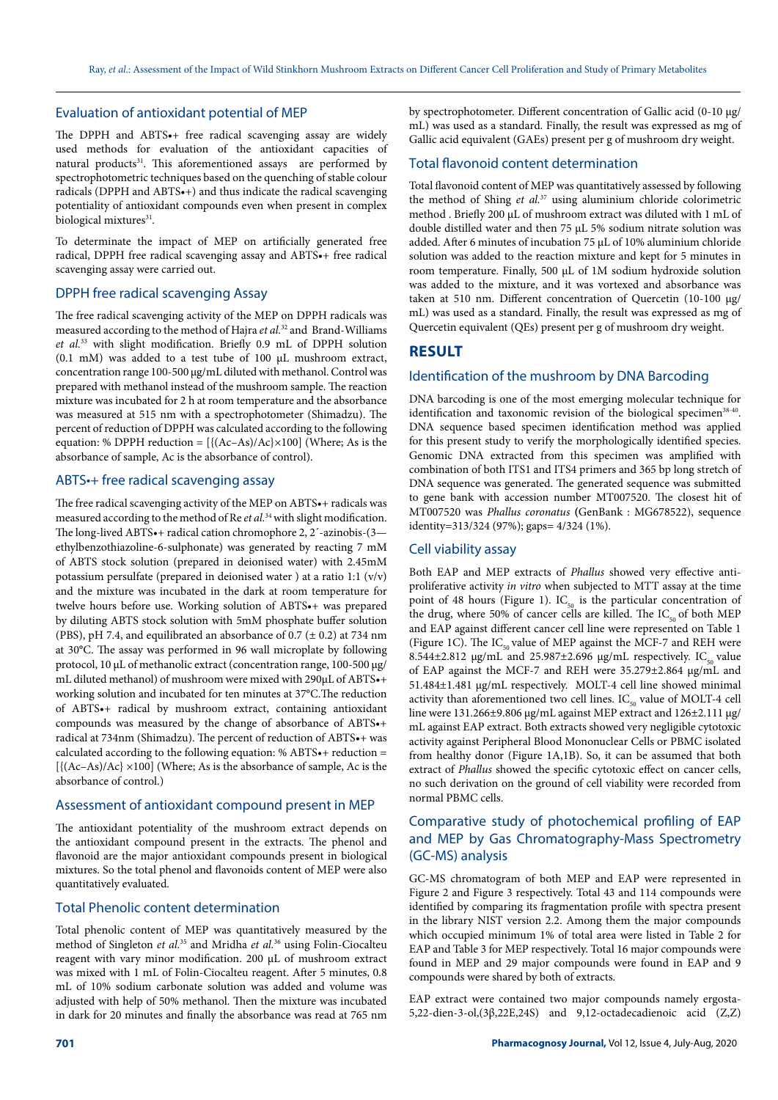#### Evaluation of antioxidant potential of MEP

The DPPH and ABTS•+ free radical scavenging assay are widely used methods for evaluation of the antioxidant capacities of natural products<sup>31</sup>. This aforementioned assays are performed by spectrophotometric techniques based on the quenching of stable colour radicals (DPPH and ABTS•+) and thus indicate the radical scavenging potentiality of antioxidant compounds even when present in complex biological mixtures<sup>31</sup>.

To determinate the impact of MEP on artificially generated free radical, DPPH free radical scavenging assay and ABTS•+ free radical scavenging assay were carried out.

## DPPH free radical scavenging Assay

The free radical scavenging activity of the MEP on DPPH radicals was measured according to the method of Hajra et al.<sup>32</sup> and Brand-Williams et al.<sup>33</sup> with slight modification. Briefly 0.9 mL of DPPH solution (0.1 mM) was added to a test tube of 100 µL mushroom extract, concentration range 100-500 µg/mL diluted with methanol. Control was prepared with methanol instead of the mushroom sample. The reaction mixture was incubated for 2 h at room temperature and the absorbance was measured at 515 nm with a spectrophotometer (Shimadzu). The percent of reduction of DPPH was calculated according to the following equation: % DPPH reduction =  $[\{(Ac-As)/Ac\}\times100]$  (Where; As is the absorbance of sample, Ac is the absorbance of control).

## ABTS•+ free radical scavenging assay

The free radical scavenging activity of the MEP on ABTS•+ radicals was measured according to the method of Re et al.<sup>34</sup> with slight modification. The long-lived ABTS•+ radical cation chromophore 2, 2´-azinobis-(3 ethylbenzothiazoline-6-sulphonate) was generated by reacting 7 mM of ABTS stock solution (prepared in deionised water) with 2.45mM potassium persulfate (prepared in deionised water ) at a ratio 1:1 (v/v) and the mixture was incubated in the dark at room temperature for twelve hours before use. Working solution of ABTS•+ was prepared by diluting ABTS stock solution with 5mM phosphate buffer solution (PBS), pH 7.4, and equilibrated an absorbance of  $0.7$  ( $\pm$  0.2) at 734 nm at 30°C. The assay was performed in 96 wall microplate by following protocol, 10 μL of methanolic extract (concentration range, 100-500 µg/ mL diluted methanol) of mushroom were mixed with 290μL of ABTS•+ working solution and incubated for ten minutes at 37°C.The reduction of ABTS•+ radical by mushroom extract, containing antioxidant compounds was measured by the change of absorbance of ABTS•+ radical at 734nm (Shimadzu). The percent of reduction of ABTS•+ was calculated according to the following equation: % ABTS $\bullet$ + reduction =  $[\{(Ac-As)/Ac] \times 100]$  (Where; As is the absorbance of sample, Ac is the absorbance of control.)

## Assessment of antioxidant compound present in MEP

The antioxidant potentiality of the mushroom extract depends on the antioxidant compound present in the extracts. The phenol and flavonoid are the major antioxidant compounds present in biological mixtures. So the total phenol and flavonoids content of MEP were also quantitatively evaluated.

#### Total Phenolic content determination

Total phenolic content of MEP was quantitatively measured by the method of Singleton et al.<sup>35</sup> and Mridha et al.<sup>36</sup> using Folin-Ciocalteu reagent with vary minor modification. 200 µL of mushroom extract was mixed with 1 mL of Folin-Ciocalteu reagent. After 5 minutes, 0.8 mL of 10% sodium carbonate solution was added and volume was adjusted with help of 50% methanol. Then the mixture was incubated in dark for 20 minutes and finally the absorbance was read at 765 nm

by spectrophotometer. Different concentration of Gallic acid (0-10 µg/ mL) was used as a standard. Finally, the result was expressed as mg of Gallic acid equivalent (GAEs) present per g of mushroom dry weight.

#### Total flavonoid content determination

Total flavonoid content of MEP was quantitatively assessed by following the method of Shing et al.<sup>37</sup> using aluminium chloride colorimetric method . Briefly 200 µL of mushroom extract was diluted with 1 mL of double distilled water and then 75 µL 5% sodium nitrate solution was added. After 6 minutes of incubation 75 µL of 10% aluminium chloride solution was added to the reaction mixture and kept for 5 minutes in room temperature. Finally, 500 µL of 1M sodium hydroxide solution was added to the mixture, and it was vortexed and absorbance was taken at 510 nm. Different concentration of Quercetin (10-100 µg/ mL) was used as a standard. Finally, the result was expressed as mg of Quercetin equivalent (QEs) present per g of mushroom dry weight.

## **RESULT**

#### Identification of the mushroom by DNA Barcoding

DNA barcoding is one of the most emerging molecular technique for identification and taxonomic revision of the biological specimen<sup>38-40</sup>. DNA sequence based specimen identification method was applied for this present study to verify the morphologically identified species. Genomic DNA extracted from this specimen was amplified with combination of both ITS1 and ITS4 primers and 365 bp long stretch of DNA sequence was generated. The generated sequence was submitted to gene bank with accession number MT007520. The closest hit of MT007520 was Phallus coronatus **(**GenBank : MG678522), sequence identity=313/324 (97%); gaps= 4/324 (1%).

## Cell viability assay

Both EAP and MEP extracts of Phallus showed very effective antiproliferative activity in vitro when subjected to MTT assay at the time point of 48 hours (Figure 1).  $IC_{50}$  is the particular concentration of the drug, where 50% of cancer cells are killed. The  $IC_{50}$  of both MEP and EAP against different cancer cell line were represented on Table 1 (Figure 1C). The  $IC_{50}$  value of MEP against the MCF-7 and REH were 8.544 $\pm$ 2.812 µg/mL and 25.987 $\pm$ 2.696 µg/mL respectively. IC<sub>50</sub> value of EAP against the MCF-7 and REH were 35.279±2.864 µg/mL and 51.484±1.481 µg/mL respectively. MOLT-4 cell line showed minimal activity than aforementioned two cell lines.  $IC_{50}$  value of MOLT-4 cell line were 131.266±9.806 µg/mL against MEP extract and 126±2.111 µg/ mL against EAP extract. Both extracts showed very negligible cytotoxic activity against Peripheral Blood Mononuclear Cells or PBMC isolated from healthy donor (Figure 1A,1B). So, it can be assumed that both extract of Phallus showed the specific cytotoxic effect on cancer cells, no such derivation on the ground of cell viability were recorded from normal PBMC cells.

# Comparative study of photochemical profiling of EAP and MEP by Gas Chromatography-Mass Spectrometry (GC-MS) analysis

GC-MS chromatogram of both MEP and EAP were represented in Figure 2 and Figure 3 respectively. Total 43 and 114 compounds were identified by comparing its fragmentation profile with spectra present in the library NIST version 2.2. Among them the major compounds which occupied minimum 1% of total area were listed in Table 2 for EAP and Table 3 for MEP respectively. Total 16 major compounds were found in MEP and 29 major compounds were found in EAP and 9 compounds were shared by both of extracts.

EAP extract were contained two major compounds namely ergosta-5,22-dien-3-ol,(3β,22E,24S) and 9,12-octadecadienoic acid (Z,Z)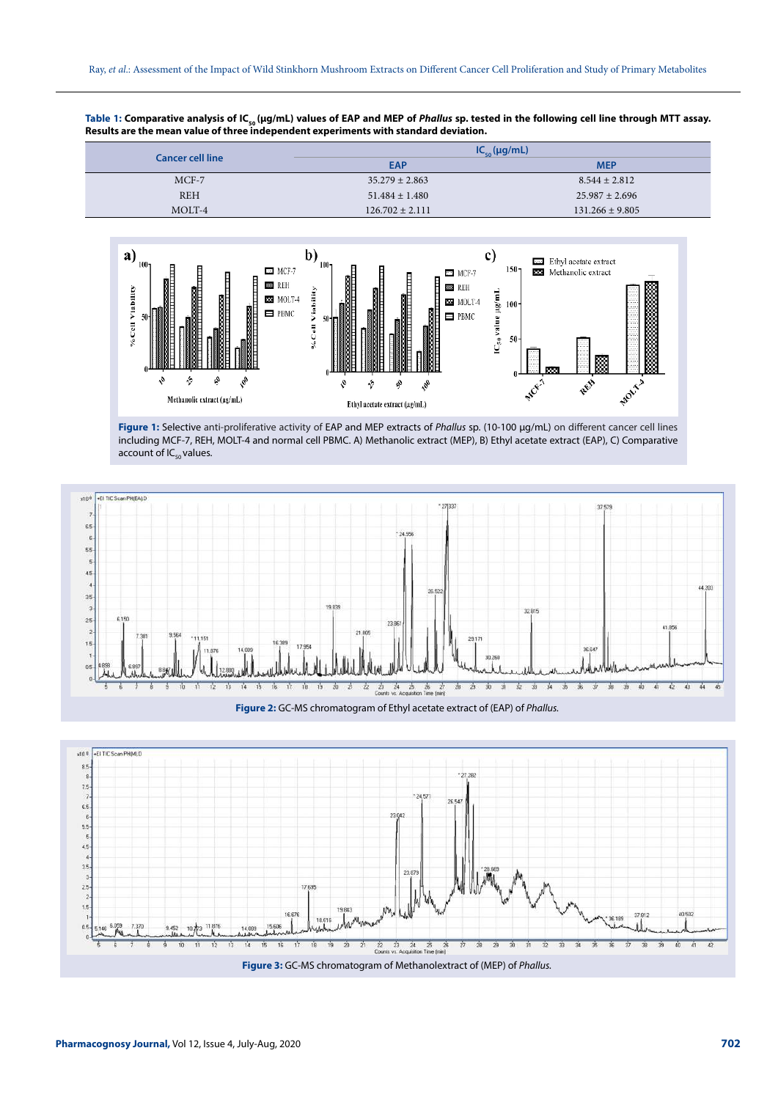Table 1: Comparative analysis of IC<sub>50</sub> (µg/mL) values of EAP and MEP of *Phallus* sp. tested in the following cell line through MTT assay. **Results are the mean value of three independent experiments with standard deviation.**

|                         | $IC_{\epsilon_0}(\mu g/mL)$ |                     |  |  |
|-------------------------|-----------------------------|---------------------|--|--|
| <b>Cancer cell line</b> | <b>EAP</b>                  | <b>MEP</b>          |  |  |
| $MCF-7$                 | $35.279 \pm 2.863$          | $8.544 \pm 2.812$   |  |  |
| <b>REH</b>              | $51.484 \pm 1.480$          | $25.987 \pm 2.696$  |  |  |
| MOLT-4                  | $126.702 \pm 2.111$         | $131.266 \pm 9.805$ |  |  |
|                         |                             |                     |  |  |



**Figure 1:** Selective anti-proliferative activity of EAP and MEP extracts of Phallus sp. (10-100 µg/mL) on different cancer cell lines including MCF-7, REH, MOLT-4 and normal cell PBMC. A) Methanolic extract (MEP), B) Ethyl acetate extract (EAP), C) Comparative account of  $IC_{50}$  values.





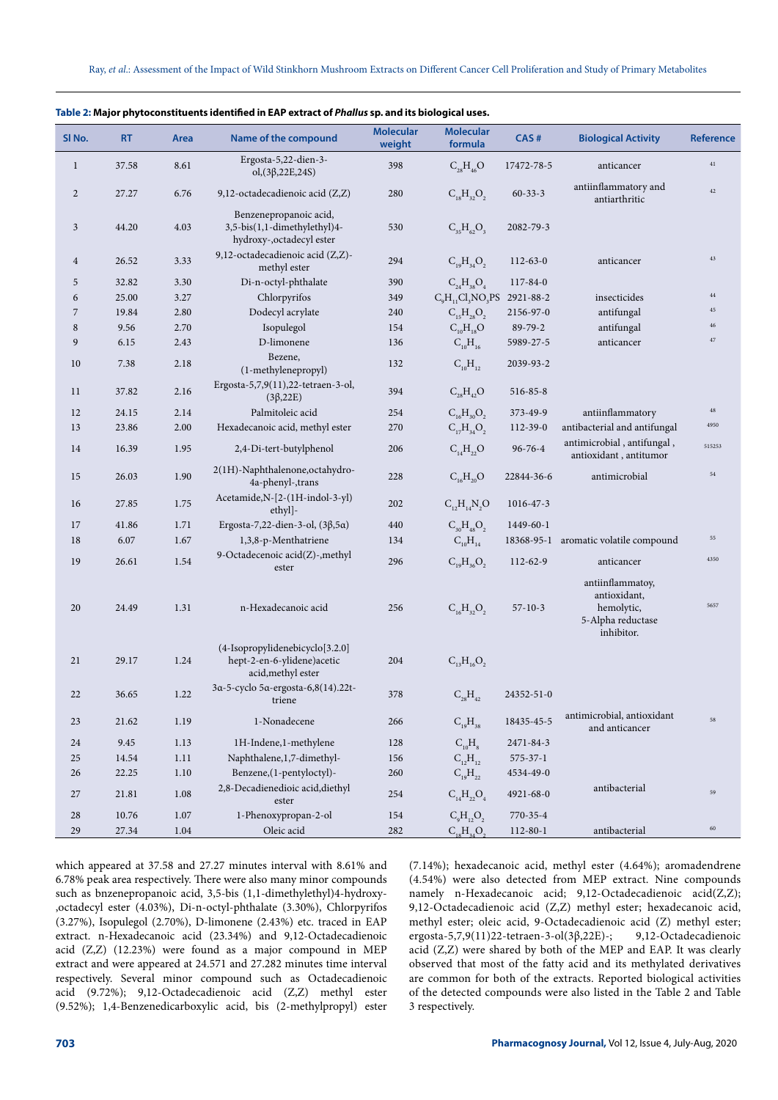| SI <sub>No.</sub> | <b>RT</b> | Area     | Name of the compound                                                                | <b>Molecular</b><br>weight | <b>Molecular</b><br>formula | CAS#           | <b>Biological Activity</b>                                                        | <b>Reference</b> |
|-------------------|-----------|----------|-------------------------------------------------------------------------------------|----------------------------|-----------------------------|----------------|-----------------------------------------------------------------------------------|------------------|
| $\mathbf{1}$      | 37.58     | 8.61     | Ergosta-5,22-dien-3-<br>$ol,(3\beta,22E,24S)$                                       | 398                        | $C_{28}H_{46}O$             | 17472-78-5     | anticancer                                                                        | $41\,$           |
| $\sqrt{2}$        | 27.27     | 6.76     | 9,12-octadecadienoic acid (Z,Z)                                                     | 280                        | $C_{18}H_{32}O_2$           | $60 - 33 - 3$  | antiinflammatory and<br>antiarthritic                                             | $42\,$           |
| 3                 | 44.20     | 4.03     | Benzenepropanoic acid,<br>3,5-bis(1,1-dimethylethyl)4-<br>hydroxy-, octadecyl ester | 530                        | $C_{35}H_{62}O_3$           | 2082-79-3      |                                                                                   |                  |
| $\overline{4}$    | 26.52     | 3.33     | 9,12-octadecadienoic acid (Z,Z)-<br>methyl ester                                    | 294                        | $C_{19}H_{34}O_2$           | $112 - 63 - 0$ | anticancer                                                                        | 43               |
| 5                 | 32.82     | 3.30     | Di-n-octyl-phthalate                                                                | 390                        | $C_{24}H_{38}O_4$           | 117-84-0       |                                                                                   |                  |
| 6                 | 25.00     | 3.27     | Chlorpyrifos                                                                        | 349                        | $C_{9}H_{11}Cl_{3}NO_{3}PS$ | 2921-88-2      | insecticides                                                                      | $\bf 44$         |
| 7                 | 19.84     | 2.80     | Dodecyl acrylate                                                                    | 240                        | $C_{15}H_{28}O_2$           | 2156-97-0      | antifungal                                                                        | $45\,$           |
| 8                 | 9.56      | 2.70     | Isopulegol                                                                          | 154                        | $C_{10}H_{18}O$             | 89-79-2        | antifungal                                                                        | 46               |
| 9                 | 6.15      | 2.43     | D-limonene                                                                          | 136                        | $C_{10}H_{16}$              | 5989-27-5      | anticancer                                                                        | $47\,$           |
| 10                | 7.38      | 2.18     | Bezene,<br>(1-methylenepropyl)                                                      | 132                        | $C_{10}H_{12}$              | 2039-93-2      |                                                                                   |                  |
| 11                | 37.82     | 2.16     | Ergosta-5,7,9(11),22-tetraen-3-ol,<br>$(3\beta,22E)$                                | 394                        | $C_{28}H_{42}O$             | $516 - 85 - 8$ |                                                                                   |                  |
| 12                | 24.15     | 2.14     | Palmitoleic acid                                                                    | 254                        | $C_{16}H_{30}O_2$           | 373-49-9       | antiinflammatory                                                                  | 48               |
| 13                | 23.86     | 2.00     | Hexadecanoic acid, methyl ester                                                     | 270                        | $C_{17}H_{34}O_2$           | $112 - 39 - 0$ | antibacterial and antifungal                                                      | 4950             |
| 14                | 16.39     | 1.95     | 2,4-Di-tert-butylphenol                                                             | 206                        | $C_{14}H_{22}O$             | $96 - 76 - 4$  | antimicrobial, antifungal,<br>antioxidant, antitumor                              | 515253           |
| 15                | 26.03     | 1.90     | 2(1H)-Naphthalenone, octahy dro-<br>4a-phenyl-, trans                               | 228                        | $C_{16}H_{20}O$             | 22844-36-6     | antimicrobial                                                                     | 54               |
| 16                | 27.85     | 1.75     | Acetamide, N-[2-(1H-indol-3-yl)<br>ethyl]-                                          | 202                        | $C_{12}H_{14}N_2O$          | 1016-47-3      |                                                                                   |                  |
| 17                | 41.86     | 1.71     | Ergosta-7,22-dien-3-ol, $(3\beta, 5\alpha)$                                         | 440                        | $C_{30}H_{48}O_2$           | 1449-60-1      |                                                                                   |                  |
| 18                | 6.07      | 1.67     | 1,3,8-p-Menthatriene                                                                | 134                        | $C_{10}H_{14}$              |                | 18368-95-1 aromatic volatile compound                                             | 55               |
| 19                | 26.61     | 1.54     | 9-Octadecenoic acid(Z)-,methyl<br>ester                                             | 296                        | $C_{19}H_{36}O_2$           | 112-62-9       | anticancer                                                                        | 4350             |
| 20                | 24.49     | 1.31     | n-Hexadecanoic acid                                                                 | 256                        | $C_{16}H_{32}O_2$           | $57 - 10 - 3$  | antiinflammatoy,<br>antioxidant,<br>hemolytic,<br>5-Alpha reductase<br>inhibitor. | 5657             |
| 21                | 29.17     | 1.24     | (4-Isopropylidenebicyclo[3.2.0]<br>hept-2-en-6-ylidene)acetic<br>acid, methyl ester | 204                        | $C_{13}H_{16}O_2$           |                |                                                                                   |                  |
| 22                | 36.65     | 1.22     | 3α-5-cyclo 5α-ergosta-6,8(14).22t-<br>triene                                        | 378                        | $C_{28}H_{42}$              | 24352-51-0     |                                                                                   |                  |
| 23                | 21.62     | 1.19     | 1-Nonadecene                                                                        | 266                        | $C_{19}H_{38}$              | 18435-45-5     | antimicrobial, antioxidant<br>and anticancer                                      | 58               |
| 24                | 9.45      | 1.13     | 1H-Indene,1-methylene                                                               | 128                        | $C_{10}H_8$                 | 2471-84-3      |                                                                                   |                  |
| 25                | 14.54     | 1.11     | Naphthalene, 1,7-dimethyl-                                                          | 156                        | $C_{12}H_{12}$              | $575 - 37 - 1$ |                                                                                   |                  |
| 26                | 22.25     | $1.10\,$ | Benzene,(1-pentyloctyl)-                                                            | 260                        | $C_{19}H_{22}$              | 4534-49-0      |                                                                                   |                  |
| 27                | 21.81     | 1.08     | 2,8-Decadienedioic acid, diethyl<br>ester                                           | 254                        | $C_{14}H_{22}O_4$           | 4921-68-0      | antibacterial                                                                     | 59               |
| 28                | 10.76     | 1.07     | 1-Phenoxypropan-2-ol                                                                | 154                        | $\rm{C_9H_{12}O_2}$         | 770-35-4       |                                                                                   |                  |
| $29\,$            | 27.34     | 1.04     | Oleic acid                                                                          | 282                        | $C_{18}H_{34}O_2$           | $112 - 80 - 1$ | antibacterial                                                                     | $60\,$           |

| Table 2: Major phytoconstituents identified in EAP extract of Phallus sp. and its biological uses. |  |
|----------------------------------------------------------------------------------------------------|--|
|----------------------------------------------------------------------------------------------------|--|

which appeared at 37.58 and 27.27 minutes interval with 8.61% and 6.78% peak area respectively. There were also many minor compounds such as bnzenepropanoic acid, 3,5-bis (1,1-dimethylethyl)4-hydroxy- ,octadecyl ester (4.03%), Di-n-octyl-phthalate (3.30%), Chlorpyrifos (3.27%), Isopulegol (2.70%), D-limonene (2.43%) etc. traced in EAP extract. n-Hexadecanoic acid (23.34%) and 9,12-Octadecadienoic acid (Z,Z) (12.23%) were found as a major compound in MEP extract and were appeared at 24.571 and 27.282 minutes time interval respectively. Several minor compound such as Octadecadienoic acid (9.72%); 9,12-Octadecadienoic acid (Z,Z) methyl ester (9.52%); 1,4-Benzenedicarboxylic acid, bis (2-methylpropyl) ester (7.14%); hexadecanoic acid, methyl ester (4.64%); aromadendrene (4.54%) were also detected from MEP extract. Nine compounds namely n-Hexadecanoic acid; 9,12-Octadecadienoic acid(Z,Z); 9,12-Octadecadienoic acid (Z,Z) methyl ester; hexadecanoic acid, methyl ester; oleic acid, 9-Octadecadienoic acid (Z) methyl ester; ergosta-5,7,9(11)22-tetraen-3-ol(3β,22E)-; 9,12-Octadecadienoic acid (Z,Z) were shared by both of the MEP and EAP. It was clearly observed that most of the fatty acid and its methylated derivatives are common for both of the extracts. Reported biological activities of the detected compounds were also listed in the Table 2 and Table 3 respectively.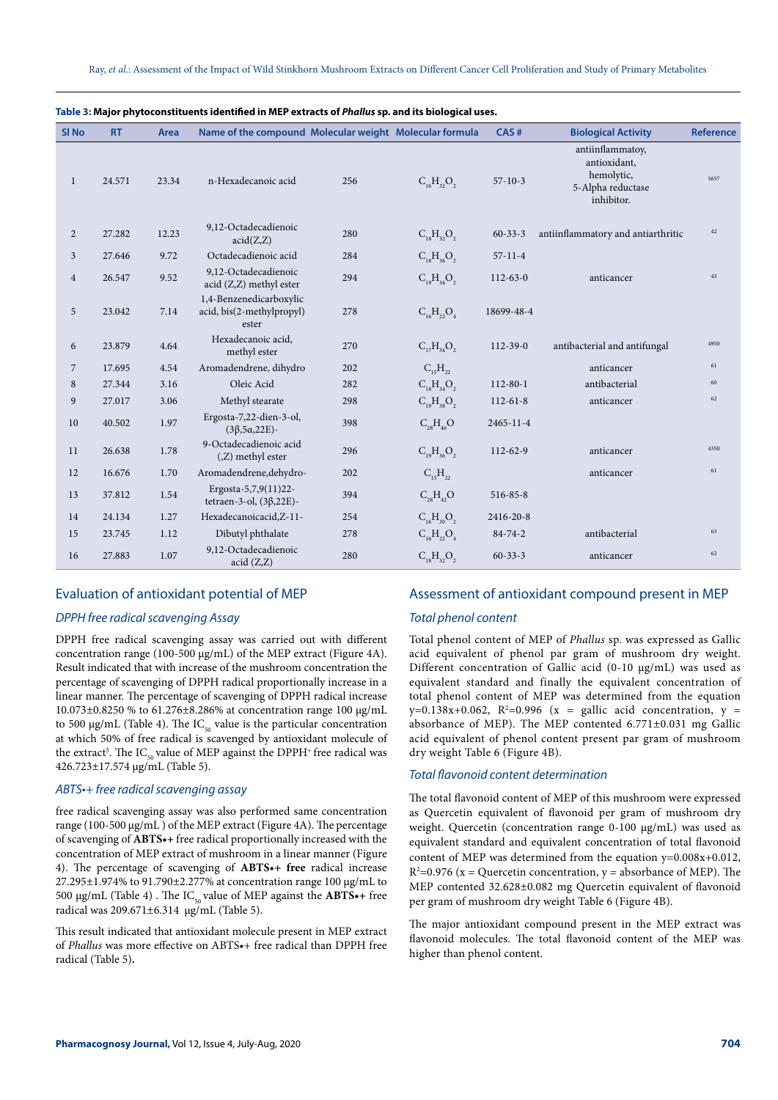| SI <sub>No</sub> | <b>RT</b> | <b>Area</b> | Name of the compound Molecular weight Molecular formula       |     |                         | CAS#           | <b>Biological Activity</b>                                                        | <b>Reference</b> |
|------------------|-----------|-------------|---------------------------------------------------------------|-----|-------------------------|----------------|-----------------------------------------------------------------------------------|------------------|
| 1                | 24.571    | 23.34       | n-Hexadecanoic acid                                           | 256 | $C_{16}H_{32}O_2$       | $57 - 10 - 3$  | antiinflammatov,<br>antioxidant,<br>hemolytic,<br>5-Alpha reductase<br>inhibitor. | 5657             |
| $\overline{c}$   | 27.282    | 12.23       | 9,12-Octadecadienoic<br>acid(Z,Z)                             | 280 | $C_{18}H_{32}O_2$       | $60 - 33 - 3$  | antiinflammatory and antiarthritic                                                | 42               |
| 3                | 27.646    | 9.72        | Octadecadienoic acid                                          | 284 | $C_{18}H_{36}O_2$       | $57 - 11 - 4$  |                                                                                   |                  |
| $\overline{4}$   | 26.547    | 9.52        | 9,12-Octadecadienoic<br>$acid (Z,Z)$ methyl ester             | 294 | $C_{19}H_{34}O_2$       | $112 - 63 - 0$ | anticancer                                                                        | 43               |
| 5                | 23.042    | 7.14        | 1,4-Benzenedicarboxylic<br>acid, bis(2-methylpropyl)<br>ester | 278 | $C_{16}H_{22}O_4$       | 18699-48-4     |                                                                                   |                  |
| 6                | 23.879    | 4.64        | Hexadecanoic acid.<br>methyl ester                            | 270 | $C_{17}H_{34}O_2$       | $112 - 39 - 0$ | antibacterial and antifungal                                                      | 4950             |
| $\overline{7}$   | 17.695    | 4.54        | Aromadendrene, dihydro                                        | 202 | $C_{15}H_{22}$          |                | anticancer                                                                        | 61               |
| 8                | 27.344    | 3.16        | Oleic Acid                                                    | 282 | $C_{18}H_{34}O_2$       | $112 - 80 - 1$ | antibacterial                                                                     | 60               |
| 9                | 27.017    | 3.06        | Methyl stearate                                               | 298 | $C_{19}H_{38}O_2$       | $112 - 61 - 8$ | anticancer                                                                        | 62               |
| 10               | 40.502    | 1.97        | Ergosta-7,22-dien-3-ol,<br>$(3\beta, 5\alpha, 22E)$ -         | 398 | $C_{28}H_{46}O$         | 2465-11-4      |                                                                                   |                  |
| 11               | 26.638    | 1.78        | 9-Octadecadienoic acid<br>$(Z)$ methyl ester                  | 296 | $C_{19}H_{36}O_2$       | 112-62-9       | anticancer                                                                        | 4350             |
| 12               | 16.676    | 1.70        | Aromadendrene, dehydro-                                       | 202 | $C_{15}H_{22}$          |                | anticancer                                                                        | 61               |
| 13               | 37.812    | 1.54        | Ergosta-5,7,9(11)22-<br>tetraen-3-ol, $(3\beta, 22E)$ -       | 394 | $C_{\infty}H_{\infty}O$ | 516-85-8       |                                                                                   |                  |
| 14               | 24.134    | 1.27        | Hexadecanoicacid, Z-11-                                       | 254 | $C_{16}H_{30}O_{2}$     | 2416-20-8      |                                                                                   |                  |
| 15               | 23.745    | 1.12        | Dibutyl phthalate                                             | 278 | $C_{16}H_{22}O_4$       | $84 - 74 - 2$  | antibacterial                                                                     | 63               |
| 16               | 27.883    | 1.07        | 9,12-Octadecadienoic<br>acid (Z,Z)                            | 280 | $C_{18}H_{32}O_2$       | $60 - 33 - 3$  | anticancer                                                                        | 62               |

#### **Table 3: Major phytoconstituents identified in MEP extracts of Phallus sp. and its biological uses.**

## Evaluation of antioxidant potential of MEP

#### DPPH free radical scavenging Assay

DPPH free radical scavenging assay was carried out with different concentration range (100-500 µg/mL) of the MEP extract (Figure 4A). Result indicated that with increase of the mushroom concentration the percentage of scavenging of DPPH radical proportionally increase in a linear manner. The percentage of scavenging of DPPH radical increase 10.073±0.8250 % to 61.276±8.286% at concentration range 100 µg/mL to 500  $\mu$ g/mL (Table 4). The IC<sub>50</sub> value is the particular concentration at which 50% of free radical is scavenged by antioxidant molecule of the extract<sup>5</sup>. The IC<sub>50</sub> value of MEP against the DPPH<sup>+</sup> free radical was 426.723±17.574 µg/mL (Table 5).

#### ABTS•+ free radical scavenging assay

free radical scavenging assay was also performed same concentration range (100-500 µg/mL ) of the MEP extract (Figure 4A). The percentage of scavenging of **ABTS•+** free radical proportionally increased with the concentration of MEP extract of mushroom in a linear manner (Figure 4). The percentage of scavenging of **ABTS•+ free** radical increase 27.295±1.974% to 91.790±2.277% at concentration range 100 µg/mL to 500 μg/mL (Table 4). The IC<sub>50</sub> value of MEP against the **ABTS**•+ free radical was 209.671±6.314 µg/mL (Table 5).

This result indicated that antioxidant molecule present in MEP extract of Phallus was more effective on ABTS•+ free radical than DPPH free radical (Table 5)**.**

## Assessment of antioxidant compound present in MEP

#### Total phenol content

Total phenol content of MEP of Phallus sp. was expressed as Gallic acid equivalent of phenol par gram of mushroom dry weight. Different concentration of Gallic acid (0-10 µg/mL) was used as equivalent standard and finally the equivalent concentration of total phenol content of MEP was determined from the equation  $y=0.138x+0.062$ ,  $R^2=0.996$  (x = gallic acid concentration, y = absorbance of MEP). The MEP contented 6.771±0.031 mg Gallic acid equivalent of phenol content present par gram of mushroom dry weight Table 6 (Figure 4B).

#### Total flavonoid content determination

The total flavonoid content of MEP of this mushroom were expressed as Quercetin equivalent of flavonoid per gram of mushroom dry weight. Quercetin (concentration range 0-100 µg/mL) was used as equivalent standard and equivalent concentration of total flavonoid content of MEP was determined from the equation y=0.008x+0.012,  $R^2$ =0.976 (x = Quercetin concentration, y = absorbance of MEP). The MEP contented 32.628±0.082 mg Quercetin equivalent of flavonoid per gram of mushroom dry weight Table 6 (Figure 4B).

The major antioxidant compound present in the MEP extract was flavonoid molecules. The total flavonoid content of the MEP was higher than phenol content.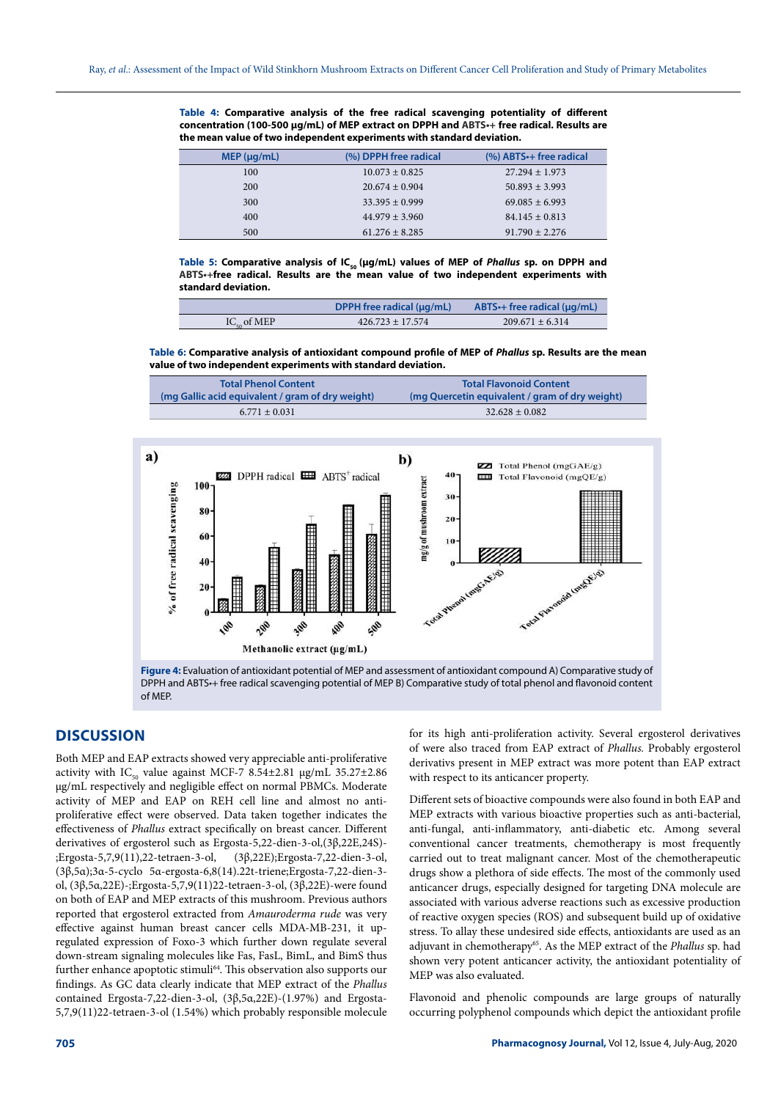**Table 4: Comparative analysis of the free radical scavenging potentiality of different concentration (100-500 µg/mL) of MEP extract on DPPH and ABTS•+ free radical. Results are the mean value of two independent experiments with standard deviation.**

| MEP (µq/mL) | (%) DPPH free radical | (%) ABTS · + free radical |
|-------------|-----------------------|---------------------------|
| 100         | $10.073 \pm 0.825$    | $27.294 + 1.973$          |
| 200         | $20.674 + 0.904$      | $50.893 \pm 3.993$        |
| 300         | $33.395 \pm 0.999$    | $69.085 \pm 6.993$        |
| 400         | $44.979 + 3.960$      | $84.145 \pm 0.813$        |
| 500         | $61.276 + 8.285$      | $91.790 \pm 2.276$        |

Table 5: Comparative analysis of IC<sub>50</sub> (µg/mL) values of MEP of *Phallus* sp. on DPPH and **ABTS•+free radical. Results are the mean value of two independent experiments with standard deviation.**

|                          | DPPH free radical $(\mu q/mL)$ | ABTS $\cdot$ + free radical ( $\mu$ g/mL) |
|--------------------------|--------------------------------|-------------------------------------------|
| $IC_{\epsilon_0}$ of MEP | $426.723 \pm 17.574$           | $209.671 + 6.314$                         |

**Table 6: Comparative analysis of antioxidant compound profile of MEP of Phallus sp. Results are the mean value of two independent experiments with standard deviation.**

| <b>Total Phenol Content</b>                      | <b>Total Flavonoid Content</b>                 |
|--------------------------------------------------|------------------------------------------------|
| (mg Gallic acid equivalent / gram of dry weight) | (mg Quercetin equivalent / gram of dry weight) |
| $6.771 \pm 0.031$                                | $32.628 \pm 0.082$                             |



DPPH and ABTS•+ free radical scavenging potential of MEP B) Comparative study of total phenol and flavonoid content of MEP.

# **DISCUSSION**

Both MEP and EAP extracts showed very appreciable anti-proliferative activity with IC<sub>50</sub> value against MCF-7 8.54 $\pm$ 2.81 µg/mL 35.27 $\pm$ 2.86 µg/mL respectively and negligible effect on normal PBMCs. Moderate activity of MEP and EAP on REH cell line and almost no antiproliferative effect were observed. Data taken together indicates the effectiveness of Phallus extract specifically on breast cancer. Different derivatives of ergosterol such as Ergosta-5,22-dien-3-ol,(3β,22E,24S)- ;Ergosta-5,7,9(11),22-tetraen-3-ol, (3β,22E);Ergosta-7,22-dien-3-ol, (3β,5α);3α-5-cyclo 5α-ergosta-6,8(14).22t-triene;Ergosta-7,22-dien-3 ol, (3β,5α,22E)-;Ergosta-5,7,9(11)22-tetraen-3-ol, (3β,22E)-were found on both of EAP and MEP extracts of this mushroom. Previous authors reported that ergosterol extracted from Amauroderma rude was very effective against human breast cancer cells MDA-MB-231, it upregulated expression of Foxo-3 which further down regulate several down-stream signaling molecules like Fas, FasL, BimL, and BimS thus further enhance apoptotic stimuli<sup>64</sup>. This observation also supports our findings. As GC data clearly indicate that MEP extract of the Phallus contained Ergosta-7,22-dien-3-ol, (3β,5α,22E)-(1.97%) and Ergosta-5,7,9(11)22-tetraen-3-ol (1.54%) which probably responsible molecule

for its high anti-proliferation activity. Several ergosterol derivatives of were also traced from EAP extract of Phallus. Probably ergosterol derivativs present in MEP extract was more potent than EAP extract with respect to its anticancer property.

Different sets of bioactive compounds were also found in both EAP and MEP extracts with various bioactive properties such as anti-bacterial, anti-fungal, anti-inflammatory, anti-diabetic etc. Among several conventional cancer treatments, chemotherapy is most frequently carried out to treat malignant cancer. Most of the chemotherapeutic drugs show a plethora of side effects. The most of the commonly used anticancer drugs, especially designed for targeting DNA molecule are associated with various adverse reactions such as excessive production of reactive oxygen species (ROS) and subsequent build up of oxidative stress. To allay these undesired side effects, antioxidants are used as an adjuvant in chemotherapy<sup>65</sup>. As the MEP extract of the Phallus sp. had shown very potent anticancer activity, the antioxidant potentiality of MEP was also evaluated.

Flavonoid and phenolic compounds are large groups of naturally occurring polyphenol compounds which depict the antioxidant profile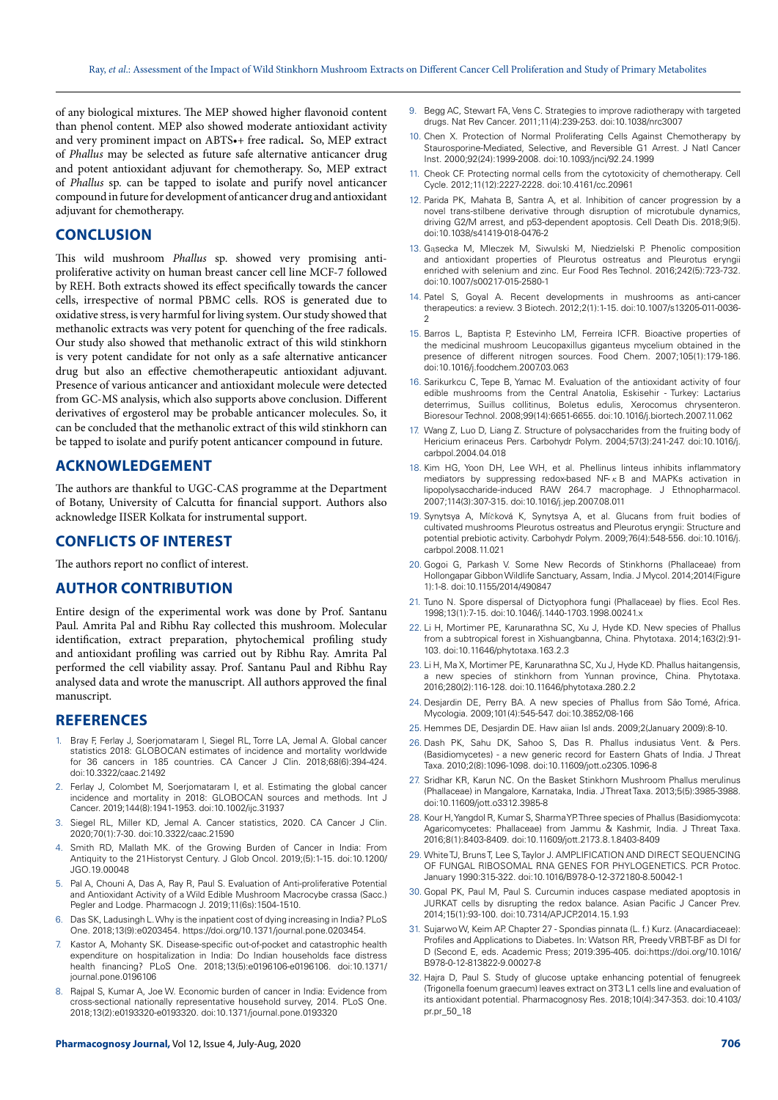of any biological mixtures. The MEP showed higher flavonoid content than phenol content. MEP also showed moderate antioxidant activity and very prominent impact on ABTS•+ free radical**.** So, MEP extract of Phallus may be selected as future safe alternative anticancer drug and potent antioxidant adjuvant for chemotherapy. So, MEP extract of Phallus sp. can be tapped to isolate and purify novel anticancer compound in future for development of anticancer drug and antioxidant adjuvant for chemotherapy.

# **CONCLUSION**

This wild mushroom Phallus sp. showed very promising antiproliferative activity on human breast cancer cell line MCF-7 followed by REH. Both extracts showed its effect specifically towards the cancer cells, irrespective of normal PBMC cells. ROS is generated due to oxidative stress, is very harmful for living system. Our study showed that methanolic extracts was very potent for quenching of the free radicals. Our study also showed that methanolic extract of this wild stinkhorn is very potent candidate for not only as a safe alternative anticancer drug but also an effective chemotherapeutic antioxidant adjuvant. Presence of various anticancer and antioxidant molecule were detected from GC-MS analysis, which also supports above conclusion. Different derivatives of ergosterol may be probable anticancer molecules. So, it can be concluded that the methanolic extract of this wild stinkhorn can be tapped to isolate and purify potent anticancer compound in future.

## **ACKNOWLEDGEMENT**

The authors are thankful to UGC-CAS programme at the Department of Botany, University of Calcutta for financial support. Authors also acknowledge IISER Kolkata for instrumental support.

## **CONFLICTS OF INTEREST**

The authors report no conflict of interest.

## **AUTHOR CONTRIBUTION**

Entire design of the experimental work was done by Prof. Santanu Paul. Amrita Pal and Ribhu Ray collected this mushroom. Molecular identification, extract preparation, phytochemical profiling study and antioxidant profiling was carried out by Ribhu Ray. Amrita Pal performed the cell viability assay. Prof. Santanu Paul and Ribhu Ray analysed data and wrote the manuscript. All authors approved the final manuscript.

#### **REFERENCES**

- Bray F, Ferlay J, Soerjomataram I, Siegel RL, Torre LA, Jemal A. Global cancer statistics 2018: GLOBOCAN estimates of incidence and mortality worldwide for 36 cancers in 185 countries. CA Cancer J Clin. 2018;68(6):394-424. doi:10.3322/caac.21492
- 2. Ferlay J, Colombet M, Soerjomataram I, et al. Estimating the global cancer incidence and mortality in 2018: GLOBOCAN sources and methods. Int J Cancer. 2019;144(8):1941-1953. doi:10.1002/ijc.31937
- 3. Siegel RL, Miller KD, Jemal A. Cancer statistics, 2020. CA Cancer J Clin. 2020;70(1):7-30. doi:10.3322/caac.21590
- 4. Smith RD, Mallath MK. of the Growing Burden of Cancer in India: From Antiquity to the 21Historyst Century. J Glob Oncol. 2019;(5):1-15. doi:10.1200/ JGO.19.00048
- 5. Pal A, Chouni A, Das A, Ray R, Paul S. Evaluation of Anti-proliferative Potential and Antioxidant Activity of a Wild Edible Mushroom Macrocybe crassa (Sacc.) Pegler and Lodge. Pharmacogn J. 2019;11(6s):1504-1510.
- 6. Das SK, Ladusingh L. Why is the inpatient cost of dying increasing in India? PLoS One. 2018;13(9):e0203454. https://doi.org/10.1371/journal.pone.0203454.
- 7. Kastor A, Mohanty SK. Disease-specific out-of-pocket and catastrophic health expenditure on hospitalization in India: Do Indian households face distress health financing? PLoS One. 2018;13(5):e0196106-e0196106. doi:10.1371/ journal.pone.0196106
- 8. Rajpal S, Kumar A, Joe W. Economic burden of cancer in India: Evidence from cross-sectional nationally representative household survey, 2014. PLoS One. 2018;13(2):e0193320-e0193320. doi:10.1371/journal.pone.0193320
- 9. Begg AC, Stewart FA, Vens C. Strategies to improve radiotherapy with targeted drugs. Nat Rev Cancer. 2011;11(4):239-253. doi:10.1038/nrc3007
- 10. Chen X. Protection of Normal Proliferating Cells Against Chemotherapy by Staurosporine-Mediated, Selective, and Reversible G1 Arrest. J Natl Cancer Inst. 2000;92(24):1999-2008. doi:10.1093/jnci/92.24.1999
- 11. Cheok CF. Protecting normal cells from the cytotoxicity of chemotherapy. Cell Cycle. 2012;11(12):2227-2228. doi:10.4161/cc.20961
- 12. Parida PK, Mahata B, Santra A, et al. Inhibition of cancer progression by a novel trans-stilbene derivative through disruption of microtubule dynamics, driving G2/M arrest, and p53-dependent apoptosis. Cell Death Dis. 2018;9(5). doi:10.1038/s41419-018-0476-2
- 13. Gąsecka M, Mleczek M, Siwulski M, Niedzielski P. Phenolic composition and antioxidant properties of Pleurotus ostreatus and Pleurotus eryngii enriched with selenium and zinc. Eur Food Res Technol. 2016;242(5):723-732. doi:10.1007/s00217-015-2580-1
- 14. Patel S, Goyal A. Recent developments in mushrooms as anti-cancer therapeutics: a review. 3 Biotech. 2012;2(1):1-15. doi:10.1007/s13205-011-0036- 2
- 15. Barros L, Baptista P, Estevinho LM, Ferreira ICFR. Bioactive properties of the medicinal mushroom Leucopaxillus giganteus mycelium obtained in the presence of different nitrogen sources. Food Chem. 2007;105(1):179-186. doi:10.1016/j.foodchem.2007.03.063
- 16. Sarikurkcu C, Tepe B, Yamac M. Evaluation of the antioxidant activity of four edible mushrooms from the Central Anatolia, Eskisehir - Turkey: Lactarius deterrimus, Suillus collitinus, Boletus edulis, Xerocomus chrysenteron. Bioresour Technol. 2008;99(14):6651-6655. doi:10.1016/j.biortech.2007.11.062
- 17. Wang Z, Luo D, Liang Z. Structure of polysaccharides from the fruiting body of Hericium erinaceus Pers. Carbohydr Polym. 2004;57(3):241-247. doi:10.1016/j. carbpol.2004.04.018
- 18. Kim HG, Yoon DH, Lee WH, et al. Phellinus linteus inhibits inflammatory mediators by suppressing redox-based NF-κB and MAPKs activation in lipopolysaccharide-induced RAW 264.7 macrophage. J Ethnopharmacol. 2007;114(3):307-315. doi:10.1016/j.jep.2007.08.011
- 19. Synytsya A, Míčková K, Synytsya A, et al. Glucans from fruit bodies of cultivated mushrooms Pleurotus ostreatus and Pleurotus eryngii: Structure and potential prebiotic activity. Carbohydr Polym. 2009;76(4):548-556. doi:10.1016/j. carbpol.2008.11.021
- 20. Gogoi G, Parkash V. Some New Records of Stinkhorns (Phallaceae) from Hollongapar Gibbon Wildlife Sanctuary, Assam, India. J Mycol. 2014;2014(Figure 1):1-8. doi:10.1155/2014/490847
- 21. Tuno N. Spore dispersal of Dictyophora fungi (Phallaceae) by flies. Ecol Res. 1998;13(1):7-15. doi:10.1046/j.1440-1703.1998.00241.x
- 22. Li H, Mortimer PE, Karunarathna SC, Xu J, Hyde KD. New species of Phallus from a subtropical forest in Xishuangbanna, China. Phytotaxa. 2014;163(2):91- 103. doi:10.11646/phytotaxa.163.2.3
- 23. Li H, Ma X, Mortimer PE, Karunarathna SC, Xu J, Hyde KD. Phallus haitangensis, a new species of stinkhorn from Yunnan province, China. Phytotaxa. 2016;280(2):116-128. doi:10.11646/phytotaxa.280.2.2
- 24. Desjardin DE, Perry BA. A new species of Phallus from São Tomé, Africa. Mycologia. 2009;101(4):545-547. doi:10.3852/08-166
- 25. Hemmes DE, Desjardin DE. Haw aiian Isl ands. 2009;2(January 2009):8-10.
- 26. Dash PK, Sahu DK, Sahoo S, Das R. Phallus indusiatus Vent. & Pers. (Basidiomycetes) - a new generic record for Eastern Ghats of India. J Threat Taxa. 2010;2(8):1096-1098. doi:10.11609/jott.o2305.1096-8
- 27. Sridhar KR, Karun NC. On the Basket Stinkhorn Mushroom Phallus merulinus (Phallaceae) in Mangalore, Karnataka, India. J Threat Taxa. 2013;5(5):3985-3988. doi:10.11609/jott.o3312.3985-8
- 28. Kour H, Yangdol R, Kumar S, Sharma YP. Three species of Phallus (Basidiomycota: Agaricomycetes: Phallaceae) from Jammu & Kashmir, India. J Threat Taxa. 2016;8(1):8403-8409. doi:10.11609/jott.2173.8.1.8403-8409
- 29. White TJ, Bruns T, Lee S, Taylor J. AMPLIFICATION AND DIRECT SEQUENCING OF FUNGAL RIBOSOMAL RNA GENES FOR PHYLOGENETICS. PCR Protoc. January 1990:315-322. doi:10.1016/B978-0-12-372180-8.50042-1
- 30. Gopal PK, Paul M, Paul S. Curcumin induces caspase mediated apoptosis in JURKAT cells by disrupting the redox balance. Asian Pacific J Cancer Prev. 2014;15(1):93-100. doi:10.7314/APJCP.2014.15.1.93
- 31. Sujarwo W, Keim AP. Chapter 27 Spondias pinnata (L. f.) Kurz. (Anacardiaceae): Profiles and Applications to Diabetes. In: Watson RR, Preedy VRBT-BF as DI for D (Second E, eds. Academic Press; 2019:395-405. doi:https://doi.org/10.1016/ B978-0-12-813822-9.00027-8
- 32. Hajra D, Paul S. Study of glucose uptake enhancing potential of fenugreek (Trigonella foenum graecum) leaves extract on 3T3 L1 cells line and evaluation of its antioxidant potential. Pharmacognosy Res. 2018;10(4):347-353. doi:10.4103/ pr.pr\_50\_18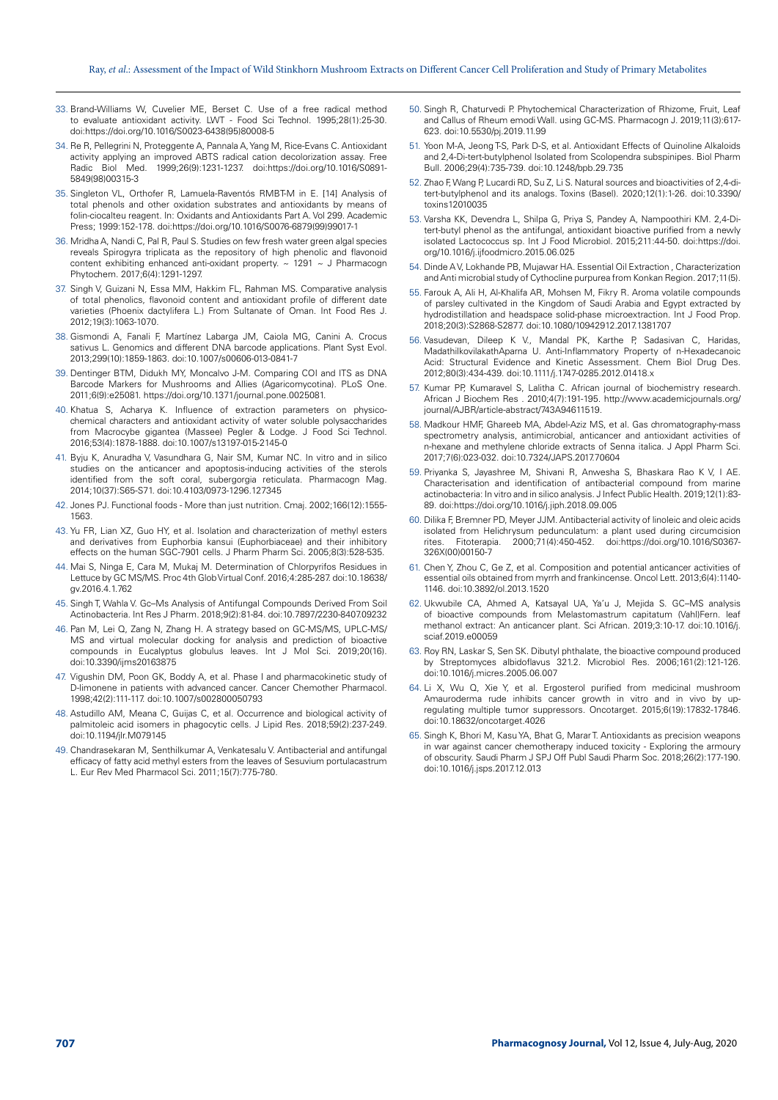- 33. Brand-Williams W, Cuvelier ME, Berset C. Use of a free radical method to evaluate antioxidant activity. LWT - Food Sci Technol. 1995;28(1):25-30. doi:https://doi.org/10.1016/S0023-6438(95)80008-5
- 34. Re R, Pellegrini N, Proteggente A, Pannala A, Yang M, Rice-Evans C. Antioxidant activity applying an improved ABTS radical cation decolorization assay. Free Radic Biol Med. 1999;26(9):1231-1237. doi:https://doi.org/10.1016/S0891- 5849(98)00315-3
- 35. Singleton VL, Orthofer R, Lamuela-Raventós RMBT-M in E. [14] Analysis of total phenols and other oxidation substrates and antioxidants by means of folin-ciocalteu reagent. In: Oxidants and Antioxidants Part A. Vol 299. Academic Press; 1999:152-178. doi:https://doi.org/10.1016/S0076-6879(99)99017-1
- 36. Mridha A, Nandi C, Pal R, Paul S. Studies on few fresh water green algal species reveals Spirogyra triplicata as the repository of high phenolic and flavonoid content exhibiting enhanced anti-oxidant property. ~ 1291 ~ J Pharmacogn Phytochem. 2017;6(4):1291-1297.
- 37. Singh V, Guizani N, Essa MM, Hakkim FL, Rahman MS. Comparative analysis of total phenolics, flavonoid content and antioxidant profile of different date varieties (Phoenix dactylifera L.) From Sultanate of Oman. Int Food Res J. 2012;19(3):1063-1070.
- 38. Gismondi A, Fanali F, Martínez Labarga JM, Caiola MG, Canini A. Crocus sativus L. Genomics and different DNA barcode applications. Plant Syst Evol. 2013;299(10):1859-1863. doi:10.1007/s00606-013-0841-7
- 39. Dentinger BTM, Didukh MY, Moncalvo J-M. Comparing COI and ITS as DNA Barcode Markers for Mushrooms and Allies (Agaricomycotina). PLoS One. 2011;6(9):e25081. https://doi.org/10.1371/journal.pone.0025081.
- 40. Khatua S, Acharya K. Influence of extraction parameters on physicochemical characters and antioxidant activity of water soluble polysaccharides from Macrocybe gigantea (Massee) Pegler & Lodge. J Food Sci Technol. 2016;53(4):1878-1888. doi:10.1007/s13197-015-2145-0
- 41. Byju K, Anuradha V, Vasundhara G, Nair SM, Kumar NC. In vitro and in silico studies on the anticancer and apoptosis-inducing activities of the sterols identified from the soft coral, subergorgia reticulata. Pharmacogn Mag. 2014;10(37):S65-S71. doi:10.4103/0973-1296.127345
- 42. Jones PJ. Functional foods More than just nutrition. Cmaj. 2002;166(12):1555- 1563.
- 43. Yu FR, Lian XZ, Guo HY, et al. Isolation and characterization of methyl esters and derivatives from Euphorbia kansui (Euphorbiaceae) and their inhibitory effects on the human SGC-7901 cells. J Pharm Pharm Sci. 2005;8(3):528-535.
- 44. Mai S, Ninga E, Cara M, Mukaj M. Determination of Chlorpyrifos Residues in Lettuce by GC MS/MS. Proc 4th Glob Virtual Conf. 2016;4:285-287. doi:10.18638/ gv.2016.4.1.762
- 45. Singh T, Wahla V. Gc–Ms Analysis of Antifungal Compounds Derived From Soil Actinobacteria. Int Res J Pharm. 2018;9(2):81-84. doi:10.7897/2230-8407.09232
- 46. Pan M, Lei Q, Zang N, Zhang H. A strategy based on GC-MS/MS, UPLC-MS/ MS and virtual molecular docking for analysis and prediction of bioactive compounds in Eucalyptus globulus leaves. Int J Mol Sci. 2019;20(16). doi:10.3390/ijms20163875
- 47. Vigushin DM, Poon GK, Boddy A, et al. Phase I and pharmacokinetic study of D-limonene in patients with advanced cancer. Cancer Chemother Pharmacol. 1998;42(2):111-117. doi:10.1007/s002800050793
- 48. Astudillo AM, Meana C, Guijas C, et al. Occurrence and biological activity of palmitoleic acid isomers in phagocytic cells. J Lipid Res. 2018;59(2):237-249. doi:10.1194/jlr.M079145
- 49. Chandrasekaran M, Senthilkumar A, Venkatesalu V. Antibacterial and antifungal efficacy of fatty acid methyl esters from the leaves of Sesuvium portulacastrum L. Eur Rev Med Pharmacol Sci. 2011;15(7):775-780.
- 50. Singh R, Chaturvedi P. Phytochemical Characterization of Rhizome, Fruit, Leaf and Callus of Rheum emodi Wall. using GC-MS. Pharmacogn J. 2019;11(3):617- 623. doi:10.5530/pj.2019.11.99
- 51. Yoon M-A, Jeong T-S, Park D-S, et al. Antioxidant Effects of Quinoline Alkaloids and 2,4-Di-tert-butylphenol Isolated from Scolopendra subspinipes. Biol Pharm Bull. 2006;29(4):735-739. doi:10.1248/bpb.29.735
- 52. Zhao F, Wang P, Lucardi RD, Su Z, Li S. Natural sources and bioactivities of 2,4-ditert-butylphenol and its analogs. Toxins (Basel). 2020;12(1):1-26. doi:10.3390/ toxins12010035
- 53. Varsha KK, Devendra L, Shilpa G, Priya S, Pandey A, Nampoothiri KM. 2,4-Ditert-butyl phenol as the antifungal, antioxidant bioactive purified from a newly isolated Lactococcus sp. Int J Food Microbiol. 2015;211:44-50. doi:https://doi. org/10.1016/j.ijfoodmicro.2015.06.025
- 54. Dinde A V, Lokhande PB, Mujawar HA. Essential Oil Extraction , Characterization and Anti microbial study of Cythocline purpurea from Konkan Region. 2017;11(5).
- 55. Farouk A, Ali H, Al-Khalifa AR, Mohsen M, Fikry R. Aroma volatile compounds of parsley cultivated in the Kingdom of Saudi Arabia and Egypt extracted by hydrodistillation and headspace solid-phase microextraction. Int J Food Prop. 2018;20(3):S2868-S2877. doi:10.1080/10942912.2017.1381707
- 56. Vasudevan, Dileep K V., Mandal PK, Karthe P, Sadasivan C, Haridas, MadathilkovilakathAparna U. Anti-Inflammatory Property of n-Hexadecanoic Acid: Structural Evidence and Kinetic Assessment. Chem Biol Drug Des. 2012;80(3):434-439. doi:10.1111/j.1747-0285.2012.01418.x
- 57. Kumar PP, Kumaravel S, Lalitha C. African journal of biochemistry research. African J Biochem Res . 2010;4(7):191-195. http://www.academicjournals.org/ journal/AJBR/article-abstract/743A94611519.
- 58. Madkour HMF, Ghareeb MA, Abdel-Aziz MS, et al. Gas chromatography-mass spectrometry analysis, antimicrobial, anticancer and antioxidant activities of n-hexane and methylene chloride extracts of Senna italica. J Appl Pharm Sci. 2017;7(6):023-032. doi:10.7324/JAPS.2017.70604
- 59. Priyanka S, Jayashree M, Shivani R, Anwesha S, Bhaskara Rao K V, I AE. Characterisation and identification of antibacterial compound from marine actinobacteria: In vitro and in silico analysis. J Infect Public Health. 2019;12(1):83- 89. doi:https://doi.org/10.1016/j.jiph.2018.09.005
- 60. Dilika F, Bremner PD, Meyer JJM. Antibacterial activity of linoleic and oleic acids isolated from Helichrysum pedunculatum: a plant used during circumcision rites. Fitoterapia. 2000;71(4):450-452. doi:https://doi.org/10.1016/S0367- 326X(00)00150-7
- 61. Chen Y, Zhou C, Ge Z, et al. Composition and potential anticancer activities of essential oils obtained from myrrh and frankincense. Oncol Lett. 2013;6(4):1140- 1146. doi:10.3892/ol.2013.1520
- 62. Ukwubile CA, Ahmed A, Katsayal UA, Ya'u J, Mejida S. GC–MS analysis of bioactive compounds from Melastomastrum capitatum (Vahl)Fern. leaf methanol extract: An anticancer plant. Sci African. 2019;3:10-17. doi:10.1016/j. sciaf.2019.e00059
- 63. Roy RN, Laskar S, Sen SK. Dibutyl phthalate, the bioactive compound produced by Streptomyces albidoflavus 321.2. Microbiol Res. 2006;161(2):121-126. doi:10.1016/j.micres.2005.06.007
- 64. Li X, Wu Q, Xie Y, et al. Ergosterol purified from medicinal mushroom Amauroderma rude inhibits cancer growth in vitro and in vivo by upregulating multiple tumor suppressors. Oncotarget. 2015;6(19):17832-17846. doi:10.18632/oncotarget.4026
- 65. Singh K, Bhori M, Kasu YA, Bhat G, Marar T. Antioxidants as precision weapons in war against cancer chemotherapy induced toxicity - Exploring the armoury of obscurity. Saudi Pharm J SPJ Off Publ Saudi Pharm Soc. 2018;26(2):177-190. doi:10.1016/j.jsps.2017.12.013